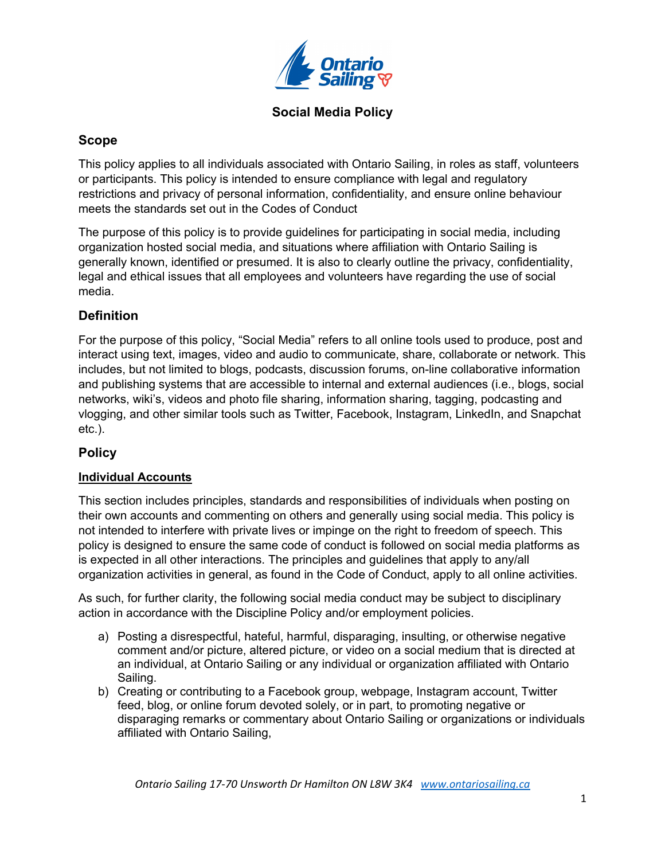

### **Social Media Policy**

### **Scope**

This policy applies to all individuals associated with Ontario Sailing, in roles as staff, volunteers or participants. This policy is intended to ensure compliance with legal and regulatory restrictions and privacy of personal information, confidentiality, and ensure online behaviour meets the standards set out in the Codes of Conduct

The purpose of this policy is to provide guidelines for participating in social media, including organization hosted social media, and situations where affiliation with Ontario Sailing is generally known, identified or presumed. It is also to clearly outline the privacy, confidentiality, legal and ethical issues that all employees and volunteers have regarding the use of social media.

# **Definition**

For the purpose of this policy, "Social Media" refers to all online tools used to produce, post and interact using text, images, video and audio to communicate, share, collaborate or network. This includes, but not limited to blogs, podcasts, discussion forums, on-line collaborative information and publishing systems that are accessible to internal and external audiences (i.e., blogs, social networks, wiki's, videos and photo file sharing, information sharing, tagging, podcasting and vlogging, and other similar tools such as Twitter, Facebook, Instagram, LinkedIn, and Snapchat etc.).

# **Policy**

### **Individual Accounts**

This section includes principles, standards and responsibilities of individuals when posting on their own accounts and commenting on others and generally using social media. This policy is not intended to interfere with private lives or impinge on the right to freedom of speech. This policy is designed to ensure the same code of conduct is followed on social media platforms as is expected in all other interactions. The principles and guidelines that apply to any/all organization activities in general, as found in the Code of Conduct, apply to all online activities.

As such, for further clarity, the following social media conduct may be subject to disciplinary action in accordance with the Discipline Policy and/or employment policies.

- a) Posting a disrespectful, hateful, harmful, disparaging, insulting, or otherwise negative comment and/or picture, altered picture, or video on a social medium that is directed at an individual, at Ontario Sailing or any individual or organization affiliated with Ontario Sailing.
- b) Creating or contributing to a Facebook group, webpage, Instagram account, Twitter feed, blog, or online forum devoted solely, or in part, to promoting negative or disparaging remarks or commentary about Ontario Sailing or organizations or individuals affiliated with Ontario Sailing,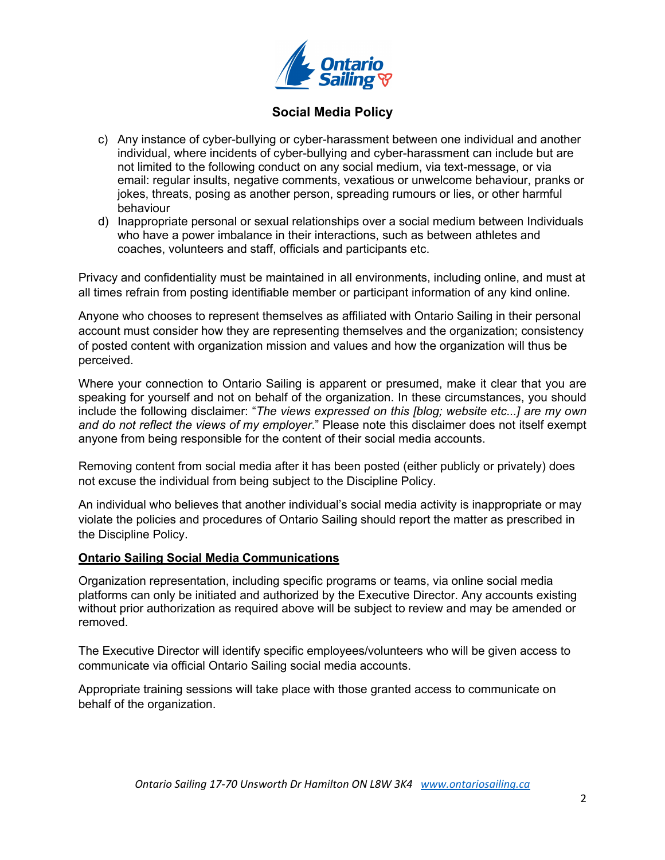

## **Social Media Policy**

- c) Any instance of cyber-bullying or cyber-harassment between one individual and another individual, where incidents of cyber-bullying and cyber-harassment can include but are not limited to the following conduct on any social medium, via text-message, or via email: regular insults, negative comments, vexatious or unwelcome behaviour, pranks or jokes, threats, posing as another person, spreading rumours or lies, or other harmful behaviour
- d) Inappropriate personal or sexual relationships over a social medium between Individuals who have a power imbalance in their interactions, such as between athletes and coaches, volunteers and staff, officials and participants etc.

Privacy and confidentiality must be maintained in all environments, including online, and must at all times refrain from posting identifiable member or participant information of any kind online.

Anyone who chooses to represent themselves as affiliated with Ontario Sailing in their personal account must consider how they are representing themselves and the organization; consistency of posted content with organization mission and values and how the organization will thus be perceived.

Where your connection to Ontario Sailing is apparent or presumed, make it clear that you are speaking for yourself and not on behalf of the organization. In these circumstances, you should include the following disclaimer: "*The views expressed on this [blog; website etc...] are my own and do not reflect the views of my employer*." Please note this disclaimer does not itself exempt anyone from being responsible for the content of their social media accounts.

Removing content from social media after it has been posted (either publicly or privately) does not excuse the individual from being subject to the Discipline Policy.

An individual who believes that another individual's social media activity is inappropriate or may violate the policies and procedures of Ontario Sailing should report the matter as prescribed in the Discipline Policy.

#### **Ontario Sailing Social Media Communications**

Organization representation, including specific programs or teams, via online social media platforms can only be initiated and authorized by the Executive Director. Any accounts existing without prior authorization as required above will be subject to review and may be amended or removed.

The Executive Director will identify specific employees/volunteers who will be given access to communicate via official Ontario Sailing social media accounts.

Appropriate training sessions will take place with those granted access to communicate on behalf of the organization.